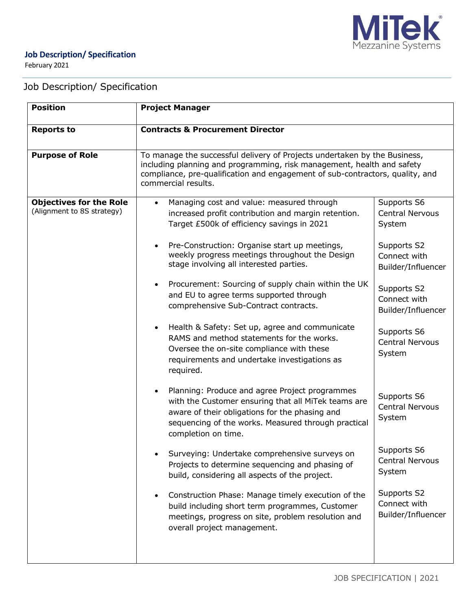

February 2021

# Job Description/ Specification

| <b>Position</b>                                              | <b>Project Manager</b>                                                                                                                                                                                                                                                                                                                                                                                                                                                                                                                                                                                                                                                                                                                                                                                                                                                                                                                                                                                                                                                                                             |                                                                                                                                                                                                                                                                                                                                   |
|--------------------------------------------------------------|--------------------------------------------------------------------------------------------------------------------------------------------------------------------------------------------------------------------------------------------------------------------------------------------------------------------------------------------------------------------------------------------------------------------------------------------------------------------------------------------------------------------------------------------------------------------------------------------------------------------------------------------------------------------------------------------------------------------------------------------------------------------------------------------------------------------------------------------------------------------------------------------------------------------------------------------------------------------------------------------------------------------------------------------------------------------------------------------------------------------|-----------------------------------------------------------------------------------------------------------------------------------------------------------------------------------------------------------------------------------------------------------------------------------------------------------------------------------|
| <b>Reports to</b>                                            | <b>Contracts &amp; Procurement Director</b>                                                                                                                                                                                                                                                                                                                                                                                                                                                                                                                                                                                                                                                                                                                                                                                                                                                                                                                                                                                                                                                                        |                                                                                                                                                                                                                                                                                                                                   |
| <b>Purpose of Role</b>                                       | To manage the successful delivery of Projects undertaken by the Business,<br>including planning and programming, risk management, health and safety<br>compliance, pre-qualification and engagement of sub-contractors, quality, and<br>commercial results.                                                                                                                                                                                                                                                                                                                                                                                                                                                                                                                                                                                                                                                                                                                                                                                                                                                        |                                                                                                                                                                                                                                                                                                                                   |
| <b>Objectives for the Role</b><br>(Alignment to 8S strategy) | Managing cost and value: measured through<br>$\bullet$<br>increased profit contribution and margin retention.<br>Target £500k of efficiency savings in 2021<br>Pre-Construction: Organise start up meetings,<br>weekly progress meetings throughout the Design<br>stage involving all interested parties.<br>Procurement: Sourcing of supply chain within the UK<br>and EU to agree terms supported through<br>comprehensive Sub-Contract contracts.<br>Health & Safety: Set up, agree and communicate<br>RAMS and method statements for the works.<br>Oversee the on-site compliance with these<br>requirements and undertake investigations as<br>required.<br>Planning: Produce and agree Project programmes<br>with the Customer ensuring that all MiTek teams are<br>aware of their obligations for the phasing and<br>sequencing of the works. Measured through practical<br>completion on time.<br>Surveying: Undertake comprehensive surveys on<br>Projects to determine sequencing and phasing of<br>build, considering all aspects of the project.<br>Construction Phase: Manage timely execution of the | Supports S6<br><b>Central Nervous</b><br>System<br>Supports S2<br>Connect with<br>Builder/Influencer<br>Supports S2<br>Connect with<br>Builder/Influencer<br>Supports S6<br><b>Central Nervous</b><br>System<br>Supports S6<br><b>Central Nervous</b><br>System<br>Supports S6<br><b>Central Nervous</b><br>System<br>Supports S2 |
|                                                              | build including short term programmes, Customer<br>meetings, progress on site, problem resolution and<br>overall project management.                                                                                                                                                                                                                                                                                                                                                                                                                                                                                                                                                                                                                                                                                                                                                                                                                                                                                                                                                                               | Connect with<br>Builder/Influencer                                                                                                                                                                                                                                                                                                |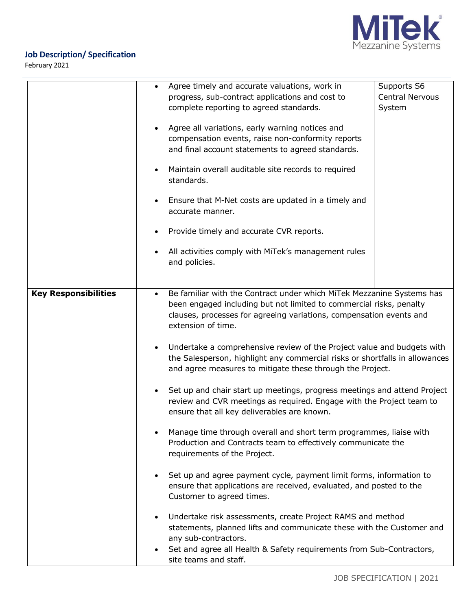

February 2021

|                                                                                                                                                                                                                                                                                       |  | Agree timely and accurate valuations, work in                                                                                                                                                                      | Supports S6            |
|---------------------------------------------------------------------------------------------------------------------------------------------------------------------------------------------------------------------------------------------------------------------------------------|--|--------------------------------------------------------------------------------------------------------------------------------------------------------------------------------------------------------------------|------------------------|
|                                                                                                                                                                                                                                                                                       |  | progress, sub-contract applications and cost to                                                                                                                                                                    | <b>Central Nervous</b> |
|                                                                                                                                                                                                                                                                                       |  | complete reporting to agreed standards.                                                                                                                                                                            | System                 |
|                                                                                                                                                                                                                                                                                       |  | Agree all variations, early warning notices and                                                                                                                                                                    |                        |
|                                                                                                                                                                                                                                                                                       |  | compensation events, raise non-conformity reports                                                                                                                                                                  |                        |
|                                                                                                                                                                                                                                                                                       |  | and final account statements to agreed standards.                                                                                                                                                                  |                        |
|                                                                                                                                                                                                                                                                                       |  |                                                                                                                                                                                                                    |                        |
|                                                                                                                                                                                                                                                                                       |  | Maintain overall auditable site records to required<br>standards.                                                                                                                                                  |                        |
|                                                                                                                                                                                                                                                                                       |  |                                                                                                                                                                                                                    |                        |
|                                                                                                                                                                                                                                                                                       |  | Ensure that M-Net costs are updated in a timely and<br>accurate manner.                                                                                                                                            |                        |
|                                                                                                                                                                                                                                                                                       |  | Provide timely and accurate CVR reports.                                                                                                                                                                           |                        |
|                                                                                                                                                                                                                                                                                       |  | All activities comply with MiTek's management rules<br>and policies.                                                                                                                                               |                        |
|                                                                                                                                                                                                                                                                                       |  |                                                                                                                                                                                                                    |                        |
| Be familiar with the Contract under which MiTek Mezzanine Systems has<br><b>Key Responsibilities</b><br>$\bullet$<br>been engaged including but not limited to commercial risks, penalty<br>clauses, processes for agreeing variations, compensation events and<br>extension of time. |  |                                                                                                                                                                                                                    |                        |
|                                                                                                                                                                                                                                                                                       |  | Undertake a comprehensive review of the Project value and budgets with<br>the Salesperson, highlight any commercial risks or shortfalls in allowances<br>and agree measures to mitigate these through the Project. |                        |
|                                                                                                                                                                                                                                                                                       |  | Set up and chair start up meetings, progress meetings and attend Project<br>review and CVR meetings as required. Engage with the Project team to<br>ensure that all key deliverables are known.                    |                        |
|                                                                                                                                                                                                                                                                                       |  | Manage time through overall and short term programmes, liaise with<br>Production and Contracts team to effectively communicate the<br>requirements of the Project.                                                 |                        |
|                                                                                                                                                                                                                                                                                       |  | Set up and agree payment cycle, payment limit forms, information to<br>ensure that applications are received, evaluated, and posted to the<br>Customer to agreed times.                                            |                        |
|                                                                                                                                                                                                                                                                                       |  | Undertake risk assessments, create Project RAMS and method<br>statements, planned lifts and communicate these with the Customer and<br>any sub-contractors.                                                        |                        |
|                                                                                                                                                                                                                                                                                       |  | Set and agree all Health & Safety requirements from Sub-Contractors,<br>site teams and staff.                                                                                                                      |                        |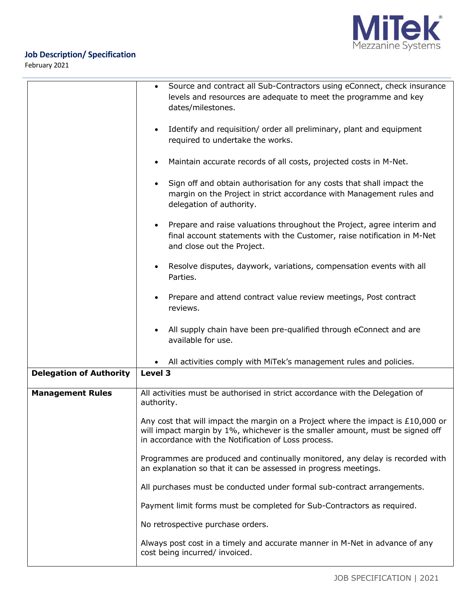

February 2021

|                                | Source and contract all Sub-Contractors using eConnect, check insurance<br>$\bullet$<br>levels and resources are adequate to meet the programme and key<br>dates/milestones.                                                |  |
|--------------------------------|-----------------------------------------------------------------------------------------------------------------------------------------------------------------------------------------------------------------------------|--|
|                                | Identify and requisition/ order all preliminary, plant and equipment<br>required to undertake the works.                                                                                                                    |  |
|                                | Maintain accurate records of all costs, projected costs in M-Net.                                                                                                                                                           |  |
|                                | Sign off and obtain authorisation for any costs that shall impact the<br>margin on the Project in strict accordance with Management rules and<br>delegation of authority.                                                   |  |
|                                | Prepare and raise valuations throughout the Project, agree interim and<br>final account statements with the Customer, raise notification in M-Net<br>and close out the Project.                                             |  |
|                                | Resolve disputes, daywork, variations, compensation events with all<br>Parties.                                                                                                                                             |  |
|                                | Prepare and attend contract value review meetings, Post contract<br>reviews.                                                                                                                                                |  |
|                                | All supply chain have been pre-qualified through eConnect and are<br>available for use.                                                                                                                                     |  |
|                                | All activities comply with MiTek's management rules and policies.                                                                                                                                                           |  |
| <b>Delegation of Authority</b> | Level 3                                                                                                                                                                                                                     |  |
| <b>Management Rules</b>        | All activities must be authorised in strict accordance with the Delegation of<br>authority.                                                                                                                                 |  |
|                                | Any cost that will impact the margin on a Project where the impact is $£10,000$ or<br>will impact margin by 1%, whichever is the smaller amount, must be signed off<br>in accordance with the Notification of Loss process. |  |
|                                | Programmes are produced and continually monitored, any delay is recorded with<br>an explanation so that it can be assessed in progress meetings.                                                                            |  |
|                                | All purchases must be conducted under formal sub-contract arrangements.                                                                                                                                                     |  |
|                                | Payment limit forms must be completed for Sub-Contractors as required.                                                                                                                                                      |  |
|                                | No retrospective purchase orders.                                                                                                                                                                                           |  |
|                                | Always post cost in a timely and accurate manner in M-Net in advance of any<br>cost being incurred/ invoiced.                                                                                                               |  |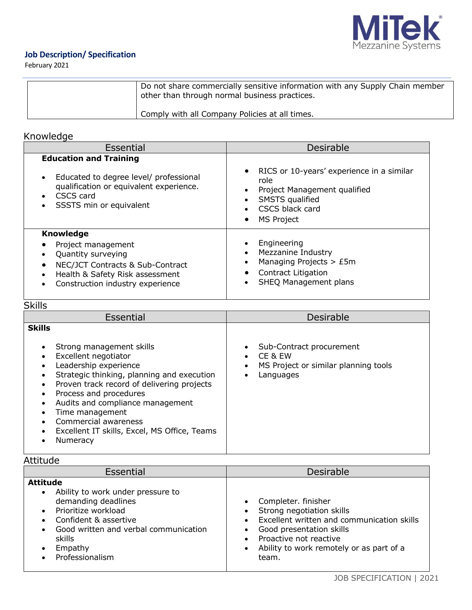

February 2021

| Do not share commercially sensitive information with any Supply Chain member<br>other than through normal business practices. |
|-------------------------------------------------------------------------------------------------------------------------------|
| Comply with all Company Policies at all times.                                                                                |

## Knowledge

| Essential                                                                                                                                                               | Desirable                                                                                                                                           |
|-------------------------------------------------------------------------------------------------------------------------------------------------------------------------|-----------------------------------------------------------------------------------------------------------------------------------------------------|
| <b>Education and Training</b>                                                                                                                                           |                                                                                                                                                     |
| Educated to degree level/ professional<br>$\bullet$<br>qualification or equivalent experience.<br>CSCS card<br>SSSTS min or equivalent                                  | RICS or 10-years' experience in a similar<br>role<br>Project Management qualified<br><b>SMSTS</b> qualified<br>CSCS black card<br><b>MS Project</b> |
| <b>Knowledge</b><br>Project management<br>Quantity surveying<br>NEC/JCT Contracts & Sub-Contract<br>Health & Safety Risk assessment<br>Construction industry experience | Engineering<br>• Mezzanine Industry<br>Managing Projects $>$ £5m<br><b>Contract Litigation</b><br>SHEQ Management plans                             |

# **Skills**

| Essential                                                                                                                                                                                                                                                                                                                                                   | <b>Desirable</b>                                                                         |
|-------------------------------------------------------------------------------------------------------------------------------------------------------------------------------------------------------------------------------------------------------------------------------------------------------------------------------------------------------------|------------------------------------------------------------------------------------------|
| <b>Skills</b><br>Strong management skills<br>Excellent negotiator<br>Leadership experience<br>Strategic thinking, planning and execution<br>Proven track record of delivering projects<br>Process and procedures<br>Audits and compliance management<br>Time management<br>Commercial awareness<br>Excellent IT skills, Excel, MS Office, Teams<br>Numeracy | Sub-Contract procurement<br>CE & EW<br>MS Project or similar planning tools<br>Languages |

## Attitude

| nuuuu                                                                                                                                                                                                        |                                                                                                                                                                                                                                                               |
|--------------------------------------------------------------------------------------------------------------------------------------------------------------------------------------------------------------|---------------------------------------------------------------------------------------------------------------------------------------------------------------------------------------------------------------------------------------------------------------|
| Essential                                                                                                                                                                                                    | <b>Desirable</b>                                                                                                                                                                                                                                              |
| <b>Attitude</b><br>Ability to work under pressure to<br>demanding deadlines<br>Prioritize workload<br>Confident & assertive<br>Good written and verbal communication<br>skills<br>Empathy<br>Professionalism | Completer. finisher<br>$\bullet$<br>Strong negotiation skills<br>Excellent written and communication skills<br>$\bullet$<br>Good presentation skills<br>$\bullet$<br>Proactive not reactive<br>Ability to work remotely or as part of a<br>$\bullet$<br>team. |